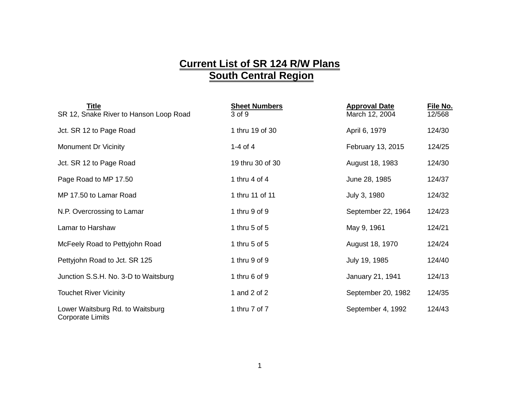## **Current List of SR 124 R/W Plans South Central Region**

| <b>Title</b><br>SR 12, Snake River to Hanson Loop Road      | <b>Sheet Numbers</b><br>3 of 9 | <b>Approval Date</b><br>March 12, 2004 | File No.<br>12/568 |
|-------------------------------------------------------------|--------------------------------|----------------------------------------|--------------------|
| Jct. SR 12 to Page Road                                     | 1 thru 19 of 30                | April 6, 1979                          | 124/30             |
| <b>Monument Dr Vicinity</b>                                 | 1-4 of 4                       | February 13, 2015                      | 124/25             |
| Jct. SR 12 to Page Road                                     | 19 thru 30 of 30               | August 18, 1983                        | 124/30             |
| Page Road to MP 17.50                                       | 1 thru 4 of 4                  | June 28, 1985                          | 124/37             |
| MP 17.50 to Lamar Road                                      | 1 thru 11 of 11                | July 3, 1980                           | 124/32             |
| N.P. Overcrossing to Lamar                                  | 1 thru 9 of 9                  | September 22, 1964                     | 124/23             |
| Lamar to Harshaw                                            | 1 thru 5 of 5                  | May 9, 1961                            | 124/21             |
| McFeely Road to Pettyjohn Road                              | 1 thru 5 of 5                  | August 18, 1970                        | 124/24             |
| Pettyjohn Road to Jct. SR 125                               | 1 thru 9 of 9                  | July 19, 1985                          | 124/40             |
| Junction S.S.H. No. 3-D to Waitsburg                        | 1 thru $6$ of $9$              | January 21, 1941                       | 124/13             |
| <b>Touchet River Vicinity</b>                               | 1 and 2 of 2                   | September 20, 1982                     | 124/35             |
| Lower Waitsburg Rd. to Waitsburg<br><b>Corporate Limits</b> | 1 thru 7 of 7                  | September 4, 1992                      | 124/43             |